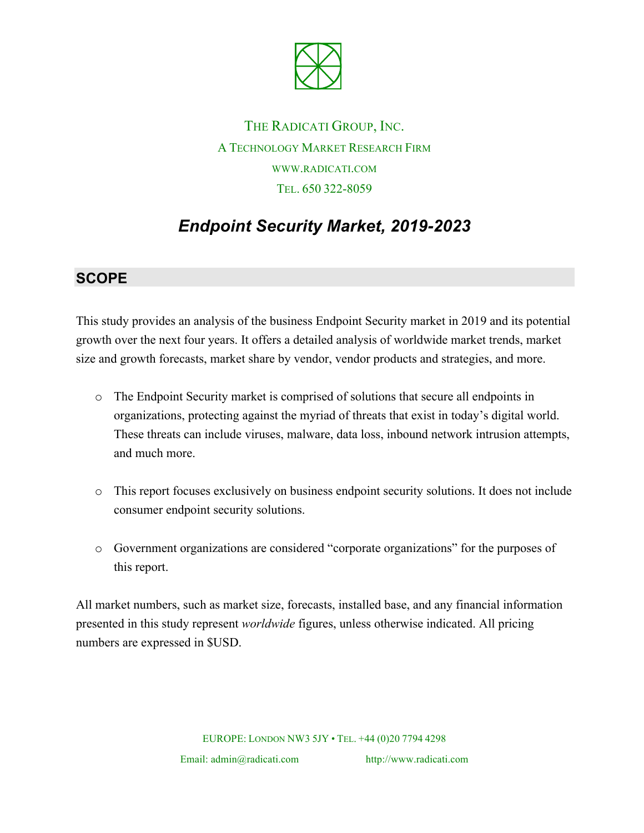

THE RADICATI GROUP, INC. A TECHNOLOGY MARKET RESEARCH FIRM WWW.RADICATI.COM TEL. 650 322-8059

# *Endpoint Security Market, 2019-2023*

### **SCOPE**

This study provides an analysis of the business Endpoint Security market in 2019 and its potential growth over the next four years. It offers a detailed analysis of worldwide market trends, market size and growth forecasts, market share by vendor, vendor products and strategies, and more.

- o The Endpoint Security market is comprised of solutions that secure all endpoints in organizations, protecting against the myriad of threats that exist in today's digital world. These threats can include viruses, malware, data loss, inbound network intrusion attempts, and much more.
- o This report focuses exclusively on business endpoint security solutions. It does not include consumer endpoint security solutions.
- o Government organizations are considered "corporate organizations" for the purposes of this report.

All market numbers, such as market size, forecasts, installed base, and any financial information presented in this study represent *worldwide* figures, unless otherwise indicated. All pricing numbers are expressed in \$USD.

EUROPE: LONDON NW3 5JY • TEL. +44 (0)20 7794 4298

Email: admin@radicati.com http://www.radicati.com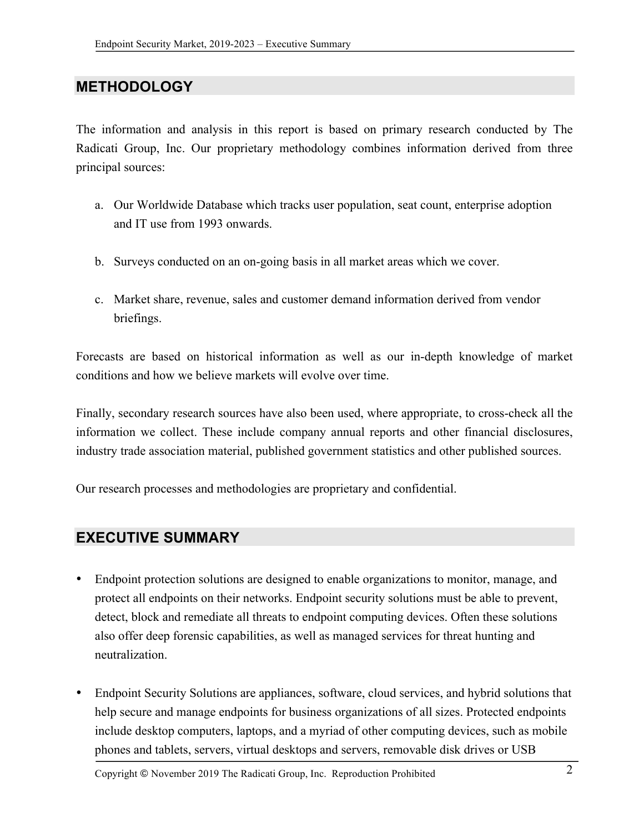### **METHODOLOGY**

The information and analysis in this report is based on primary research conducted by The Radicati Group, Inc. Our proprietary methodology combines information derived from three principal sources:

- a. Our Worldwide Database which tracks user population, seat count, enterprise adoption and IT use from 1993 onwards.
- b. Surveys conducted on an on-going basis in all market areas which we cover.
- c. Market share, revenue, sales and customer demand information derived from vendor briefings.

Forecasts are based on historical information as well as our in-depth knowledge of market conditions and how we believe markets will evolve over time.

Finally, secondary research sources have also been used, where appropriate, to cross-check all the information we collect. These include company annual reports and other financial disclosures, industry trade association material, published government statistics and other published sources.

Our research processes and methodologies are proprietary and confidential.

### **EXECUTIVE SUMMARY**

- Endpoint protection solutions are designed to enable organizations to monitor, manage, and protect all endpoints on their networks. Endpoint security solutions must be able to prevent, detect, block and remediate all threats to endpoint computing devices. Often these solutions also offer deep forensic capabilities, as well as managed services for threat hunting and neutralization.
- Endpoint Security Solutions are appliances, software, cloud services, and hybrid solutions that help secure and manage endpoints for business organizations of all sizes. Protected endpoints include desktop computers, laptops, and a myriad of other computing devices, such as mobile phones and tablets, servers, virtual desktops and servers, removable disk drives or USB

Copyright © November <sup>2019</sup> The Radicati Group, Inc. Reproduction Prohibited 2